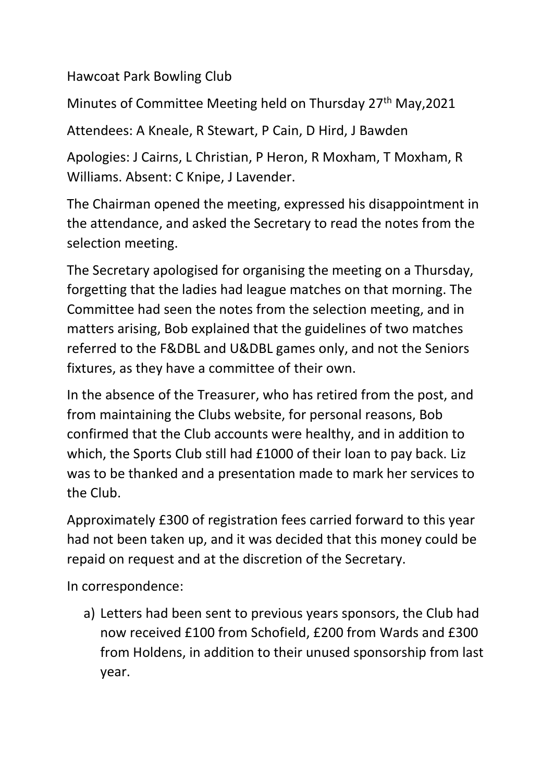Hawcoat Park Bowling Club

Minutes of Committee Meeting held on Thursday 27<sup>th</sup> May, 2021

Attendees: A Kneale, R Stewart, P Cain, D Hird, J Bawden

Apologies: J Cairns, L Christian, P Heron, R Moxham, T Moxham, R Williams. Absent: C Knipe, J Lavender.

The Chairman opened the meeting, expressed his disappointment in the attendance, and asked the Secretary to read the notes from the selection meeting.

The Secretary apologised for organising the meeting on a Thursday, forgetting that the ladies had league matches on that morning. The Committee had seen the notes from the selection meeting, and in matters arising, Bob explained that the guidelines of two matches referred to the F&DBL and U&DBL games only, and not the Seniors fixtures, as they have a committee of their own.

In the absence of the Treasurer, who has retired from the post, and from maintaining the Clubs website, for personal reasons, Bob confirmed that the Club accounts were healthy, and in addition to which, the Sports Club still had £1000 of their loan to pay back. Liz was to be thanked and a presentation made to mark her services to the Club.

Approximately £300 of registration fees carried forward to this year had not been taken up, and it was decided that this money could be repaid on request and at the discretion of the Secretary.

In correspondence:

a) Letters had been sent to previous years sponsors, the Club had now received £100 from Schofield, £200 from Wards and £300 from Holdens, in addition to their unused sponsorship from last year.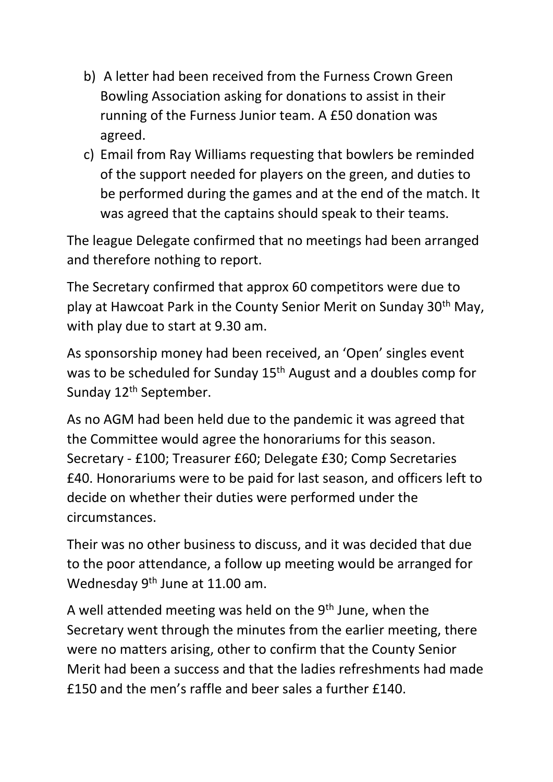- b) A letter had been received from the Furness Crown Green Bowling Association asking for donations to assist in their running of the Furness Junior team. A £50 donation was agreed.
- c) Email from Ray Williams requesting that bowlers be reminded of the support needed for players on the green, and duties to be performed during the games and at the end of the match. It was agreed that the captains should speak to their teams.

The league Delegate confirmed that no meetings had been arranged and therefore nothing to report.

The Secretary confirmed that approx 60 competitors were due to play at Hawcoat Park in the County Senior Merit on Sunday 30th May, with play due to start at 9.30 am.

As sponsorship money had been received, an 'Open' singles event was to be scheduled for Sunday 15<sup>th</sup> August and a doubles comp for Sunday 12<sup>th</sup> September.

As no AGM had been held due to the pandemic it was agreed that the Committee would agree the honorariums for this season. Secretary - £100; Treasurer £60; Delegate £30; Comp Secretaries £40. Honorariums were to be paid for last season, and officers left to decide on whether their duties were performed under the circumstances.

Their was no other business to discuss, and it was decided that due to the poor attendance, a follow up meeting would be arranged for Wednesday 9<sup>th</sup> June at 11.00 am.

A well attended meeting was held on the 9<sup>th</sup> June, when the Secretary went through the minutes from the earlier meeting, there were no matters arising, other to confirm that the County Senior Merit had been a success and that the ladies refreshments had made £150 and the men's raffle and beer sales a further £140.